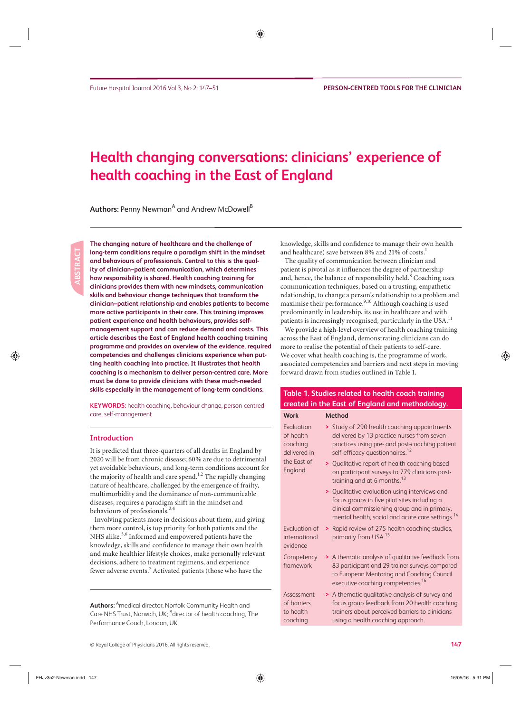# **Health changing conversations: clinicians' experience of health coaching in the East of England**

 $\mathsf{Authors}\text{:}$  Penny Newman<sup>A</sup> and Andrew McDowell $^\mathsf{B}$ 

 **The changing nature of healthcare and the challenge of long-term conditions require a paradigm shift in the mindset and behaviours of professionals. Central to this is the quality of clinician–patient communication, which determines how responsibility is shared. Health coaching training for clinicians provides them with new mindsets, communication skills and behaviour change techniques that transform the clinician– patient relationship and enables patients to become more active participants in their care. This training improves patient experience and health behaviours, provides selfmanagement support and can reduce demand and costs. This article describes the East of England health coaching training programme and provides an overview of the evidence, required competencies and challenges clinicians experience when putting health coaching into practice. It illustrates that health coaching is a mechanism to deliver person-centred care. More must be done to provide clinicians with these much-needed skills especially in the management of long-term conditions.** 

**KEYWORDS:** health coaching, behaviour change, person-centred care, self-management

#### **Introduction**

 It is predicted that three-quarters of all deaths in England by 2020 will be from chronic disease; 60% are due to detrimental yet avoidable behaviours, and long-term conditions account for the majority of health and care spend. $1,2$  The rapidly changing nature of healthcare, challenged by the emergence of frailty, multimorbidity and the dominance of non-communicable diseases, requires a paradigm shift in the mindset and behaviours of professionals.<sup>3,4</sup>

 Involving patients more in decisions about them, and giving them more control, is top priority for both patients and the NHS alike.<sup>5,6</sup> Informed and empowered patients have the knowledge, skills and confidence to manage their own health and make healthier lifestyle choices, make personally relevant decisions, adhere to treatment regimens, and experience fewer adverse events.<sup>7</sup> Activated patients (those who have the

 **Authors:** A medical director, Norfolk Community Health and Care NHS Trust, Norwich, UK; <sup>B</sup>director of health coaching, The Performance Coach, London, UK

knowledge, skills and confidence to manage their own health and healthcare) save between 8% and 21% of costs.<sup>1</sup>

 The quality of communication between clinician and patient is pivotal as it influences the degree of partnership and, hence, the balance of responsibility held.<sup>8</sup> Coaching uses communication techniques, based on a trusting, empathetic relationship, to change a person's relationship to a problem and maximise their performance.<sup>9,10</sup> Although coaching is used predominantly in leadership, its use in healthcare and with patients is increasingly recognised, particularly in the USA.<sup>11</sup>

 We provide a high-level overview of health coaching training across the East of England, demonstrating clinicians can do more to realise the potential of their patients to self-care. We cover what health coaching is, the programme of work, associated competencies and barriers and next steps in moving forward drawn from studies outlined in Table 1.

## **Table 1. Studies related to health coach training created in the East of England and methodology.**

#### **Work Method**  Evaluation of health coaching delivered in the East of England **>** Study of 290 health coaching appointments delivered by 13 practice nurses from seven practices using pre- and post-coaching patient self-efficacy questionnaires.<sup>12</sup> **>** Qualitative report of health coaching based on participant surveys to 779 clinicians posttraining and at 6 months.<sup>13</sup> **>** Qualitative evaluation using interviews and focus groups in five pilot sites including a clinical commissioning group and in primary, mental health, social and acute care settings.<sup>14</sup> Evaluation of international evidence **>** Rapid review of 275 health coaching studies, primarily from USA.<sup>15</sup> **Competency** framework **>** A thematic analysis of qualitative feedback from 83 participant and 29 trainer surveys compared to European Mentoring and Coaching Council executive coaching competencies.<sup>16</sup> Assessment of barriers to health coaching **>** A thematic qualitative analysis of survey and focus group feedback from 20 health coaching trainers about perceived barriers to clinicians using a health coaching approach.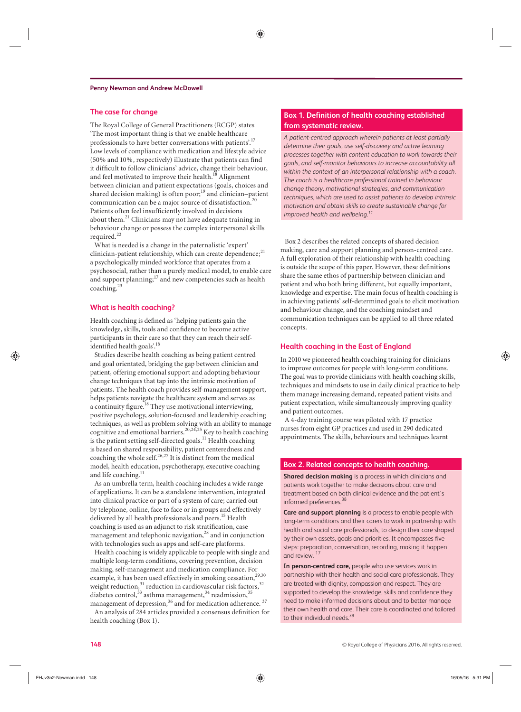#### **The case for change**

 The Royal College of General Practitioners (RCGP) states 'The most important thing is that we enable healthcare professionals to have better conversations with patients'. 17 Low levels of compliance with medication and lifestyle advice (50% and 10%, respectively) illustrate that patients can find it difficult to follow clinicians' advice, change their behaviour, and feel motivated to improve their health.<sup>18</sup> Alignment between clinician and patient expectations (goals, choices and shared decision making) is often poor; $<sup>19</sup>$  and clinician–patient</sup> communication can be a major source of dissatisfaction. 20 Patients often feel insufficiently involved in decisions about them.<sup>21</sup> Clinicians may not have adequate training in behaviour change or possess the complex interpersonal skills required.<sup>22</sup>

 What is needed is a change in the paternalistic 'expert' clinician-patient relationship, which can create dependence;<sup>21</sup> a psychologically minded workforce that operates from a psychosocial, rather than a purely medical model, to enable care and support planning;<sup>17</sup> and new competencies such as health coaching. 23

#### **What is health coaching?**

 Health coaching is defined as 'helping patients gain the knowledge, skills, tools and confidence to become active participants in their care so that they can reach their selfidentified health goals'.<sup>18</sup>

 Studies describe health coaching as being patient centred and goal orientated, bridging the gap between clinician and patient, offering emotional support and adopting behaviour change techniques that tap into the intrinsic motivation of patients. The health coach provides self-management support, helps patients navigate the healthcare system and serves as a continuity figure.<sup>18</sup> They use motivational interviewing, positive psychology, solution-focused and leadership coaching techniques, as well as problem solving with an ability to manage cognitive and emotional barriers.<sup>20,24,25</sup> Key to health coaching is the patient setting self-directed goals.<sup>11</sup> Health coaching is based on shared responsibility, patient centeredness and coaching the whole self. 26,27 It is distinct from the medical model, health education, psychotherapy, executive coaching and life coaching.<sup>11</sup>

 As an umbrella term, health coaching includes a wide range of applications. It can be a standalone intervention, integrated into clinical practice or part of a system of care; carried out by telephone, online, face to face or in groups and effectively delivered by all health professionals and peers.<sup>15</sup> Health coaching is used as an adjunct to risk stratification, case management and telephonic navigation,<sup>28</sup> and in conjunction with technologies such as apps and self-care platforms.

 Health coaching is widely applicable to people with single and multiple long-term conditions, covering prevention, decision making, self-management and medication compliance. For example, it has been used effectively in smoking cessation,<sup>29,30</sup> weight reduction, 31 reduction in cardiovascular risk factors, 32 diabetes control,  $33$  asthma management,  $34$  readmission,  $35$ management of depression, <sup>36</sup> and for medication adherence. <sup>37</sup>

 An analysis of 284 articles provided a consensus definition for health coaching (Box 1).

## **Box 1. Definition of health coaching established from systematic review.**

*A patient-centred approach wherein patients at least partially determine their goals, use self-discovery and active learning processes together with content education to work towards their goals, and self-monitor behaviours to increase accountability all within the context of an interpersonal relationship with a coach. The coach is a healthcare professional trained in behaviour change theory, motivational strategies, and communication techniques, which are used to assist patients to develop intrinsic motivation and obtain skills to create sustainable change for improved health and wellbeing.11*

Box 2 describes the related concepts of shared decision making, care and support planning and person-centred care. A full exploration of their relationship with health coaching is outside the scope of this paper. However, these definitions share the same ethos of partnership between clinician and patient and who both bring different, but equally important, knowledge and expertise. The main focus of health coaching is in achieving patients' self-determined goals to elicit motivation and behaviour change, and the coaching mindset and communication techniques can be applied to all three related concepts.

#### **Health coaching in the East of England**

 In 2010 we pioneered health coaching training for clinicians to improve outcomes for people with long-term conditions. The goal was to provide clinicians with health coaching skills, techniques and mindsets to use in daily clinical practice to help them manage increasing demand, repeated patient visits and patient expectation, while simultaneously improving quality and patient outcomes.

 A 4-day training course was piloted with 17 practice nurses from eight GP practices and used in 290 dedicated appointments. The skills, behaviours and techniques learnt

#### **Box 2. Related concepts to health coaching.**

**Shared decision making** is a process in which clinicians and patients work together to make decisions about care and treatment based on both clinical evidence and the patient's informed preferences.<sup>38</sup>

**Care and support planning** is a process to enable people with long-term conditions and their carers to work in partnership with health and social care professionals, to design their care shaped by their own assets, goals and priorities. It encompasses five steps: preparation, conversation, recording, making it happen and review.<sup>17</sup>

**In person-centred care,** people who use services work in partnership with their health and social care professionals. They are treated with dignity, compassion and respect. They are supported to develop the knowledge, skills and confidence they need to make informed decisions about and to better manage their own health and care. Their care is coordinated and tailored to their individual needs.<sup>39</sup>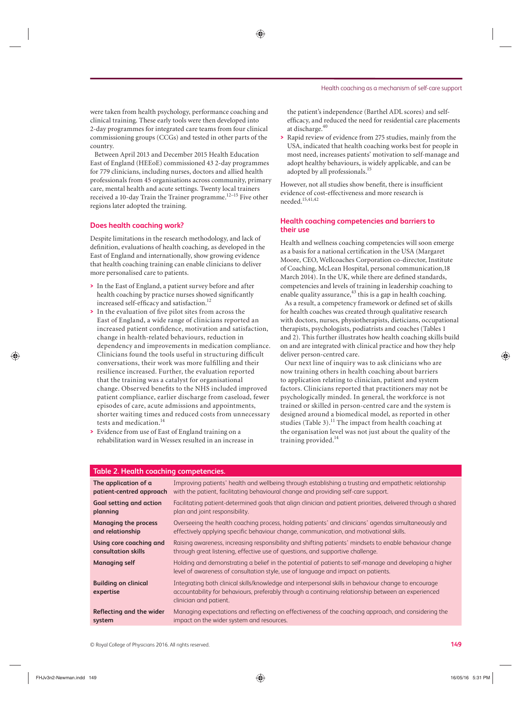were taken from health psychology, performance coaching and clinical training. These early tools were then developed into 2-day programmes for integrated care teams from four clinical commissioning groups (CCGs) and tested in other parts of the country.

 Between April 2013 and December 2015 Health Education East of England (HEEoE) commissioned 43 2-day programmes for 779 clinicians, including nurses, doctors and allied health professionals from 45 organisations across community, primary care, mental health and acute settings. Twenty local trainers received a 10-day Train the Trainer programme. 12–15 Five other regions later adopted the training.

#### **Does health coaching work?**

 Despite limitations in the research methodology, and lack of definition, evaluations of health coaching, as developed in the East of England and internationally, show growing evidence that health coaching training can enable clinicians to deliver more personalised care to patients.

- **>** In the East of England, a patient survey before and after health coaching by practice nurses showed significantly increased self-efficacy and satisfaction.<sup>12</sup>
- > In the evaluation of five pilot sites from across the East of England, a wide range of clinicians reported an increased patient confidence, motivation and satisfaction, change in health-related behaviours, reduction in dependency and improvements in medication compliance. Clinicians found the tools useful in structuring difficult conversations, their work was more fulfilling and their resilience increased. Further, the evaluation reported that the training was a catalyst for organisational change. Observed benefits to the NHS included improved patient compliance, earlier discharge from caseload, fewer episodes of care, acute admissions and appointments, shorter waiting times and reduced costs from unnecessary tests and medication. 14
- **>** Evidence from use of East of England training on a rehabilitation ward in Wessex resulted in an increase in

the patient's independence (Barthel ADL scores) and selfefficacy, and reduced the need for residential care placements at discharge. 40

**>** Rapid review of evidence from 275 studies, mainly from the USA, indicated that health coaching works best for people in most need, increases patients' motivation to self-manage and adopt healthy behaviours, is widely applicable, and can be adopted by all professionals.<sup>15</sup>

 However, not all studies show benefit, there is insufficient evidence of cost-effectiveness and more research is needed. 15,41,42

### **Health coaching competencies and barriers to their use**

 Health and wellness coaching competencies will soon emerge as a basis for a national certification in the USA (Margaret Moore, CEO, Wellcoaches Corporation co-director, Institute of Coaching, McLean Hospital, personal communication,18 March 2014). In the UK, while there are defined standards, competencies and levels of training in leadership coaching to enable quality assurance, $43$  this is a gap in health coaching.

 As a result, a competency framework or defined set of skills for health coaches was created through qualitative research with doctors, nurses, physiotherapists, dieticians, occupational therapists, psychologists, podiatrists and coaches (Tables 1 and 2). This further illustrates how health coaching skills build on and are integrated with clinical practice and how they help deliver person-centred care.

 Our next line of inquiry was to ask clinicians who are now training others in health coaching about barriers to application relating to clinician, patient and system factors. Clinicians reported that practitioners may not be psychologically minded. In general, the workforce is not trained or skilled in person-centred care and the system is designed around a biomedical model, as reported in other studies (Table 3). $^{11}$  The impact from health coaching at the organisation level was not just about the quality of the training provided. 14

| Table 2. Health coaching competencies.   |                                                                                                                                                                                                                                      |
|------------------------------------------|--------------------------------------------------------------------------------------------------------------------------------------------------------------------------------------------------------------------------------------|
| The application of a                     | Improving patients' health and wellbeing through establishing a trusting and empathetic relationship                                                                                                                                 |
| patient-centred approach                 | with the patient, facilitating behavioural change and providing self-care support.                                                                                                                                                   |
| <b>Goal setting and action</b>           | Facilitating patient-determined goals that align clinician and patient priorities, delivered through a shared                                                                                                                        |
| planning                                 | plan and joint responsibility.                                                                                                                                                                                                       |
| <b>Managing the process</b>              | Overseeing the health coaching process, holding patients' and clinicians' agendas simultaneously and                                                                                                                                 |
| and relationship                         | effectively applying specific behaviour change, communication, and motivational skills.                                                                                                                                              |
| Using core coaching and                  | Raising awareness, increasing responsibility and shifting patients' mindsets to enable behaviour change                                                                                                                              |
| consultation skills                      | through great listening, effective use of guestions, and supportive challenge.                                                                                                                                                       |
| <b>Managing self</b>                     | Holding and demonstrating a belief in the potential of patients to self-manage and developing a higher<br>level of awareness of consultation style, use of language and impact on patients.                                          |
| <b>Building on clinical</b><br>expertise | Integrating both clinical skills/knowledge and interpersonal skills in behaviour change to encourage<br>accountability for behaviours, preferably through a continuing relationship between an experienced<br>clinician and patient. |
| Reflecting and the wider                 | Managing expectations and reflecting on effectiveness of the coaching approach, and considering the                                                                                                                                  |
| system                                   | impact on the wider system and resources.                                                                                                                                                                                            |

## **Table 2. Health coaching competencies.**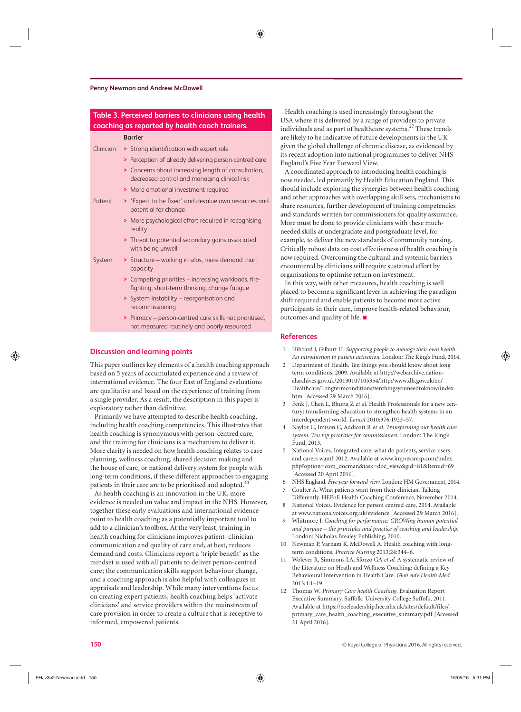#### **Penny Newman and Andrew McDowell**

| Table 3. Perceived barriers to clinicians using health<br>coaching as reported by health coach trainers. |                                                                                                        |
|----------------------------------------------------------------------------------------------------------|--------------------------------------------------------------------------------------------------------|
|                                                                                                          | <b>Barrier</b>                                                                                         |
| Clinician                                                                                                | > Strong identification with expert role                                                               |
|                                                                                                          | > Perception of already delivering person-centred care                                                 |
|                                                                                                          | > Concerns about increasing length of consultation,<br>decreased control and managing clinical risk    |
|                                                                                                          | > More emotional investment required                                                                   |
| Patient                                                                                                  | > 'Expect to be fixed' and devalue own resources and<br>potential for change                           |
|                                                                                                          | > More psychological effort required in recognising<br>reality                                         |
|                                                                                                          | > Threat to potential secondary gains associated<br>with being unwell                                  |
| System                                                                                                   | > Structure - working in silos, more demand than<br>capacity                                           |
|                                                                                                          | > Competing priorities – increasing workloads, fire-<br>fighting, short-term thinking, change fatigue  |
|                                                                                                          | > System instability – reorganisation and<br>recommissioning                                           |
|                                                                                                          | > Primacy – person-centred care skills not prioritised.<br>not measured routinely and poorly resourced |
|                                                                                                          |                                                                                                        |

#### **Discussion and learning points**

 This paper outlines key elements of a health coaching approach based on 5 years of accumulated experience and a review of international evidence. The four East of England evaluations are qualitative and based on the experience of training from a single provider. As a result, the description in this paper is exploratory rather than definitive.

 Primarily we have attempted to describe health coaching, including health coaching competencies. This illustrates that health coaching is synonymous with person-centred care, and the training for clinicians is a mechanism to deliver it. More clarity is needed on how health coaching relates to care planning, wellness coaching, shared decision making and the house of care, or national delivery system for people with long-term conditions, if these different approaches to engaging patients in their care are to be prioritised and adopted. $4<sup>4</sup>$ 

 As health coaching is an innovation in the UK, more evidence is needed on value and impact in the NHS. However, together these early evaluations and international evidence point to health coaching as a potentially important tool to add to a clinician's toolbox. At the very least, training in health coaching for clinicians improves patient–clinician communication and quality of care and, at best, reduces demand and costs. Clinicians report a 'triple benefit' as the mindset is used with all patients to deliver person-centred care; the communication skills support behaviour change, and a coaching approach is also helpful with colleagues in appraisals and leadership. While many interventions focus on creating expert patients, health coaching helps 'activate clinicians' and service providers within the mainstream of care provision in order to create a culture that is receptive to informed, empowered patients.

 Health coaching is used increasingly throughout the USA where it is delivered by a range of providers to private individuals and as part of healthcare systems. 27 These trends are likely to be indicative of future developments in the UK given the global challenge of chronic disease, as evidenced by its recent adoption into national programmes to deliver NHS England's Five Year Forward View.

 A coordinated approach to introducing health coaching is now needed, led primarily by Health Education England. This should include exploring the synergies between health coaching and other approaches with overlapping skill sets, mechanisms to share resources, further development of training competencies and standards written for commissioners for quality assurance. More must be done to provide clinicians with these muchneeded skills at undergradate and postgraduate level, for example, to deliver the new standards of community nursing. Critically robust data on cost effectiveness of health coaching is now required. Overcoming the cultural and systemic barriers encountered by clinicians will require sustained effort by organisations to optimise return on investment.

 In this way, with other measures, health coaching is well placed to become a significant lever in achieving the paradigm shift required and enable patients to become more active participants in their care, improve health-related behaviour, outcomes and quality of life. ■

#### **References**

- 1 Hibbard J, Gilburt H. Supporting people to manage their own health. An introduction to patient activation. London: The King's Fund, 2014.
- Department of Health. Ten things you should know about long term conditions, 2009. Available at http://webarchive.nationalarchives.gov.uk/20130107105354/http:/www.dh.gov.uk/en/ [Healthcare/Longtermconditions/tenthingsyouneedtoknow/index.](http://webarchive.nationalarchives.gov.uk/20130107105354/http:/www.dh.gov.uk/en/Healthcare/Longtermconditions/tenthingsyouneedtoknow/index.htm) htm [Accessed 29 March 2016].
- 3 Fenk J, Chen L, Bhutta Z et al. Health Professionals for a new century: transforming education to strengthen health systems in an interdependent world. *Lancet* 2010;376:1923-57.
- 4 Naylor C, Imison C, Addicott R et al. Transforming our health care system. Ten top priorities for commissioners. London: The King's Fund, 2013.
- 5 National Voices . Integrated care: what do patients, service users and carers want? 2012. Available at www.impressresp.com/index. php?option=com\_docman&task=doc\_view&gid=81&Itemid=69 [Accessed 20 April 2016].
- 6 NHS England. *Five year forward view*. London: HM Government, 2014.
- Coulter A. What patients want from their clinician. Talking Differently. HEEoE Health Coaching Conference, November 2014.
- 8 National Voices. Evidence for person centred care, 2014. Available at www.nationalvoices.org.uk/evidence [Accessed 29 March 2016].
- 9 Whitmore J. *Coaching for performance: GROWing human potential and purpose – the principles and practice of coaching and leadership* . London: Nicholas Brealey Publishing, 2010.
- 10 Newman P, Varnam R, McDowell A. Health coaching with longterm conditions. *Practice Nursing* 2013;24:344-6.
- Wolever R, Simmons LA, Sforzo GA et al. A systematic review of the Literature on Heath and Wellness Coaching: defining a Key Behavioural Intervention in Health Care . *Glob Adv Health Med*  2013;4:1-19.
- 12 Thomas W. *Primary Care health Coaching.* Evaluation Report Executive Summary. Suffolk: University College Suffolk, 2011. [Available at https://eoeleadership.hee.nhs.uk/sites/default/files/](https://eoeleadership.hee.nhs.uk/sites/default/files/primary_care_health_coaching_executive_summary.pdf) primary\_care\_health\_coaching\_executive\_summary.pdf [Accessed 21 April 2016].